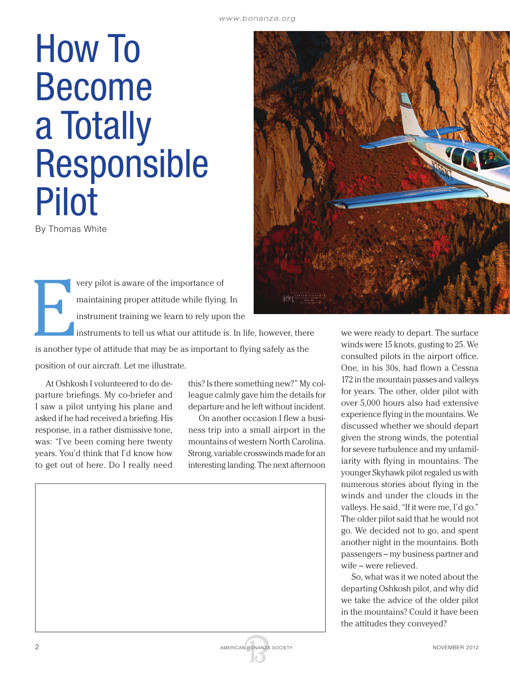## How To Become a Totally Responsible Pilot

By Thomas White

Experience very pilot is aware of the importance of maintaining proper attitude while flying. In instrument training we learn to rely upon the



instruments to tell us what our attitude is. In life, however, there is another type of attitude that may be as important to flying safely as the position of our aircraft. Let me illustrate.

At Oshkosh I volunteered to do departure briefings. My co-briefer and I saw a pilot untying his plane and asked if he had received a briefing. His response, in a rather dismissive tone, was: "I've been coming here twenty years. You'd think that I'd know how to get out of here. Do I really need

this? Is there something new?" My colleague calmly gave him the details for departure and he left without incident.

On another occasion I flew a business trip into a small airport in the mountains of western North Carolina. Strong, variable crosswinds made for an interesting landing. The next afternoon

we were ready to depart. The surface winds were 15 knots, gusting to 25. We consulted pilots in the airport office. One, in his 30s, had flown a Cessna 172 in the mountain passes and valleys for years. The other, older pilot with over 5,000 hours also had extensive experience flying in the mountains. We discussed whether we should depart given the strong winds, the potential for severe turbulence and my unfamiliarity with flying in mountains. The younger Skyhawk pilot regaled us with numerous stories about flying in the winds and under the clouds in the valleys. He said, "If it were me, I'd go." The older pilot said that he would not go. We decided not to go, and spent another night in the mountains. Both passengers – my business partner and wife – were relieved.

So, what was it we noted about the departing Oshkosh pilot, and why did we take the advice of the older pilot in the mountains? Could it have been the attitudes they conveyed?

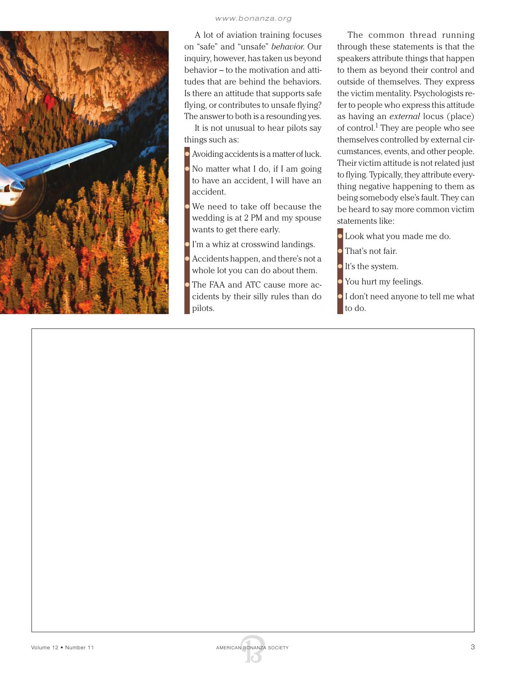

## *www.bonanza.org*

A lot of aviation training focuses on "safe" and "unsafe" *behavior*. Our inquiry, however, has taken us beyond behavior – to the motivation and attitudes that are behind the behaviors. Is there an attitude that supports safe flying, or contributes to unsafe flying? The answer to both is a resounding yes.

It is not unusual to hear pilots say things such as:

- c Avoiding accidents is a matter of luck.
- No matter what I do, if I am going to have an accident, I will have an accident.
- We need to take off because the wedding is at 2 PM and my spouse wants to get there early.
- I'm a whiz at crosswind landings.
- Accidents happen, and there's not a whole lot you can do about them.
- The FAA and ATC cause more accidents by their silly rules than do pilots.

The common thread running through these statements is that the speakers attribute things that happen to them as beyond their control and outside of themselves. They express the victim mentality. Psychologists refer to people who express this attitude as having an *external* locus (place) of control.1 They are people who see themselves controlled by external circumstances, events, and other people. Their victim attitude is not related just to flying. Typically, they attribute everything negative happening to them as being somebody else's fault. They can be heard to say more common victim statements like:

- Look what you made me do.
- That's not fair.
- It's the system.
- You hurt my feelings.
- I don't need anyone to tell me what to do.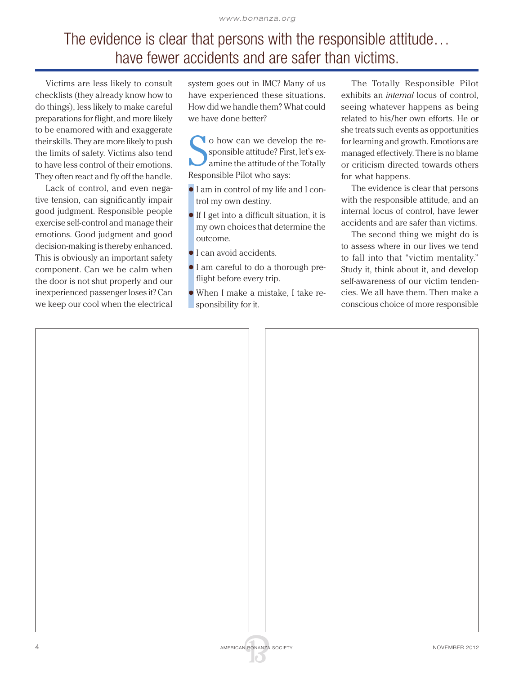## The evidence is clear that persons with the responsible attitude… have fewer accidents and are safer than victims.

Victims are less likely to consult checklists (they already know how to do things), less likely to make careful preparations for flight, and more likely to be enamored with and exaggerate their skills. They are more likely to push the limits of safety. Victims also tend to have less control of their emotions. They often react and fly off the handle.

Lack of control, and even negative tension, can significantly impair good judgment. Responsible people exercise self-control and manage their emotions. Good judgment and good decision-making is thereby enhanced. This is obviously an important safety component. Can we be calm when the door is not shut properly and our inexperienced passenger loses it? Can we keep our cool when the electrical

system goes out in IMC? Many of us have experienced these situations. How did we handle them? What could we have done better?

S o how can we develop the responsible attitude? First, let's examine the attitude of the Totally Responsible Pilot who says:

- c I am in control of my life and I control my own destiny.
- c If I get into a difficult situation, it is my own choices that determine the outcome.
- I can avoid accidents.
- I am careful to do a thorough preflight before every trip.
- c When I make a mistake, I take responsibility for it.

The Totally Responsible Pilot exhibits an *internal* locus of control, seeing whatever happens as being related to his/her own efforts. He or she treats such events as opportunities for learning and growth. Emotions are managed effectively. There is no blame or criticism directed towards others for what happens.

The evidence is clear that persons with the responsible attitude, and an internal locus of control, have fewer accidents and are safer than victims.

The second thing we might do is to assess where in our lives we tend to fall into that "victim mentality." Study it, think about it, and develop self-awareness of our victim tendencies. We all have them. Then make a conscious choice of more responsible